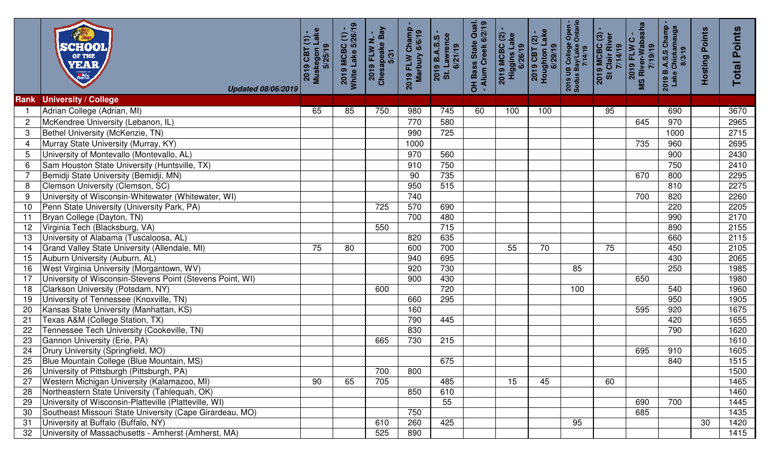|                 | SCHOOL OF THE YEAR<br><b>Updated 08/06/2019</b>           | Muskegon Lake<br>2019 CBT (1)<br>5/25/19 | 2019 MCBC (1) -<br>White Lake 5/26/19 | 2019 FLW N. -<br>Chesapeake Bay<br>5/31 | 2019 FLW Champ<br>Marbury 6/6/19 | St. Lawrence<br>6/21/19<br>2019 B.A.S.S | OH Bass State Qual.<br>- Alum Creek 6/2/19 | 2019 MCBC (2) -<br>Higgins Lake<br>6/26/19 | Houghton Lake<br>6/29/19<br>$2019$ CBT $(2)$ | 2019 UB College Open -<br>Sodus Bay/Lake Ontario<br>7/14/19 | <b>2019 MCBC (3) -<br/>St Clair River<br/>7/14/19</b> | 2019 FLW C -<br>MS River-Wabasha<br>7/19/19 | 2019 B.A.S.S Champ<br>Lake Chickamauga<br>8/3/19 | <b>Hosting Points</b> | <b>Points</b><br>Total |
|-----------------|-----------------------------------------------------------|------------------------------------------|---------------------------------------|-----------------------------------------|----------------------------------|-----------------------------------------|--------------------------------------------|--------------------------------------------|----------------------------------------------|-------------------------------------------------------------|-------------------------------------------------------|---------------------------------------------|--------------------------------------------------|-----------------------|------------------------|
| <b>Rank</b>     | <b>University / College</b>                               |                                          |                                       |                                         |                                  |                                         |                                            |                                            |                                              |                                                             |                                                       |                                             |                                                  |                       |                        |
|                 | Adrian College (Adrian, MI)                               | 65                                       | 85                                    | 750                                     | 980                              | 745                                     | 60                                         | 100                                        | 100                                          |                                                             | 95                                                    |                                             | 690                                              |                       | 3670                   |
| $\overline{c}$  | McKendree University (Lebanon, IL)                        |                                          |                                       |                                         | 770                              | 580                                     |                                            |                                            |                                              |                                                             |                                                       | 645                                         | 970                                              |                       | 2965                   |
| 3               | Bethel University (McKenzie, TN)                          |                                          |                                       |                                         | 990                              | 725                                     |                                            |                                            |                                              |                                                             |                                                       |                                             | 1000                                             |                       | 2715                   |
| 4               | Murray State University (Murray, KY)                      |                                          |                                       |                                         | 1000                             |                                         |                                            |                                            |                                              |                                                             |                                                       | 735                                         | 960                                              |                       | 2695                   |
| 5               | University of Montevallo (Montevallo, AL)                 |                                          |                                       |                                         | 970                              | 560                                     |                                            |                                            |                                              |                                                             |                                                       |                                             | 900                                              |                       | 2430                   |
| 6               | Sam Houston State University (Huntsville, TX)             |                                          |                                       |                                         | 910                              | 750                                     |                                            |                                            |                                              |                                                             |                                                       |                                             | 750                                              |                       | 2410                   |
|                 | Bemidji State University (Bemidji, MN)                    |                                          |                                       |                                         | 90                               | 735                                     |                                            |                                            |                                              |                                                             |                                                       | 670                                         | 800                                              |                       | 2295                   |
| 8               | Clemson University (Clemson, SC)                          |                                          |                                       |                                         | 950                              | 515                                     |                                            |                                            |                                              |                                                             |                                                       |                                             | 810                                              |                       | 2275                   |
| 9               | University of Wisconsin-Whitewater (Whitewater, WI)       |                                          |                                       |                                         | 740                              |                                         |                                            |                                            |                                              |                                                             |                                                       | 700                                         | 820                                              |                       | 2260                   |
| 10              | Penn State University (University Park, PA)               |                                          |                                       | $\overline{725}$                        | 570                              | 690                                     |                                            |                                            |                                              |                                                             |                                                       |                                             | 220                                              |                       | 2205                   |
| 11              | Bryan College (Dayton, TN)                                |                                          |                                       |                                         | 700                              | 480                                     |                                            |                                            |                                              |                                                             |                                                       |                                             | 990                                              |                       | 2170                   |
| 12              | Virginia Tech (Blacksburg, VA)                            |                                          |                                       | 550                                     |                                  | 715                                     |                                            |                                            |                                              |                                                             |                                                       |                                             | 890                                              |                       | 2155                   |
| $\overline{13}$ | University of Alabama (Tuscaloosa, AL)                    |                                          |                                       |                                         | 820                              | 635                                     |                                            |                                            |                                              |                                                             |                                                       |                                             | 660                                              |                       | 2115                   |
| 14              | Grand Valley State University (Allendale, MI)             | 75                                       | 80                                    |                                         | 600                              | 700                                     |                                            | 55                                         | 70                                           |                                                             | $\overline{75}$                                       |                                             | 450                                              |                       | 2105                   |
| 15              | Auburn University (Auburn, AL)                            |                                          |                                       |                                         | 940                              | 695                                     |                                            |                                            |                                              |                                                             |                                                       |                                             | 430                                              |                       | 2065                   |
| 16              | West Virginia University (Morgantown, WV)                 |                                          |                                       |                                         | 920                              | 730                                     |                                            |                                            |                                              | 85                                                          |                                                       |                                             | 250                                              |                       | 1985                   |
| 17              | University of Wisconsin-Stevens Point (Stevens Point, WI) |                                          |                                       |                                         | 900                              | 430                                     |                                            |                                            |                                              |                                                             |                                                       | 650                                         |                                                  |                       | 1980                   |
| 18              | Clarkson University (Potsdam, NY)                         |                                          |                                       | 600                                     |                                  | 720                                     |                                            |                                            |                                              | 100                                                         |                                                       |                                             | 540                                              |                       | 1960                   |
| 19              | University of Tennessee (Knoxville, TN)                   |                                          |                                       |                                         | 660                              | 295                                     |                                            |                                            |                                              |                                                             |                                                       |                                             | 950                                              |                       | 1905                   |
| 20              | Kansas State University (Manhattan, KS)                   |                                          |                                       |                                         | 160                              |                                         |                                            |                                            |                                              |                                                             |                                                       | 595                                         | 920                                              |                       | 1675                   |
| 21              | Texas A&M (College Station, TX)                           |                                          |                                       |                                         | 790                              | 445                                     |                                            |                                            |                                              |                                                             |                                                       |                                             | 420                                              |                       | 1655                   |
| $\overline{22}$ | Tennessee Tech University (Cookeville, TN)                |                                          |                                       |                                         | 830                              |                                         |                                            |                                            |                                              |                                                             |                                                       |                                             | 790                                              |                       | 1620                   |
| $\overline{23}$ | Gannon University (Erie, PA)                              |                                          |                                       | 665                                     | 730                              | 215                                     |                                            |                                            |                                              |                                                             |                                                       |                                             |                                                  |                       | 1610                   |
| 24              | Drury University (Springfield, MO)                        |                                          |                                       |                                         |                                  |                                         |                                            |                                            |                                              |                                                             |                                                       | 695                                         | 910                                              |                       | 1605                   |
|                 | Blue Mountain College (Blue Mountain, MS)                 |                                          |                                       |                                         |                                  | 675                                     |                                            |                                            |                                              |                                                             |                                                       |                                             | 840                                              |                       | 1515                   |
| 26              | University of Pittsburgh (Pittsburgh, PA)                 |                                          |                                       | 700                                     | 800                              |                                         |                                            |                                            |                                              |                                                             |                                                       |                                             |                                                  |                       | 1500                   |
| 27              | Western Michigan University (Kalamazoo, MI)               | 90                                       | 65                                    | 705                                     |                                  | 485                                     |                                            | 15                                         | 45                                           |                                                             | 60                                                    |                                             |                                                  |                       | 1465                   |
| 28              | Northeastern State University (Tahlequah, OK)             |                                          |                                       |                                         | 850                              | 610                                     |                                            |                                            |                                              |                                                             |                                                       |                                             |                                                  |                       | 1460                   |
| 29              | University of Wisconsin-Platteville (Platteville, WI)     |                                          |                                       |                                         |                                  | 55                                      |                                            |                                            |                                              |                                                             |                                                       | 690                                         | 700                                              |                       | 1445                   |
| 30              | Southeast Missouri State University (Cape Girardeau, MO)  |                                          |                                       |                                         | 750                              |                                         |                                            |                                            |                                              |                                                             |                                                       | 685                                         |                                                  |                       | 1435                   |
| 31              | University at Buffalo (Buffalo, NY)                       |                                          |                                       | 610                                     | 260                              | 425                                     |                                            |                                            |                                              | 95                                                          |                                                       |                                             |                                                  | 30                    | 1420                   |
| 32              | University of Massachusetts - Amherst (Amherst, MA)       |                                          |                                       | 525                                     | 890                              |                                         |                                            |                                            |                                              |                                                             |                                                       |                                             |                                                  |                       | 1415                   |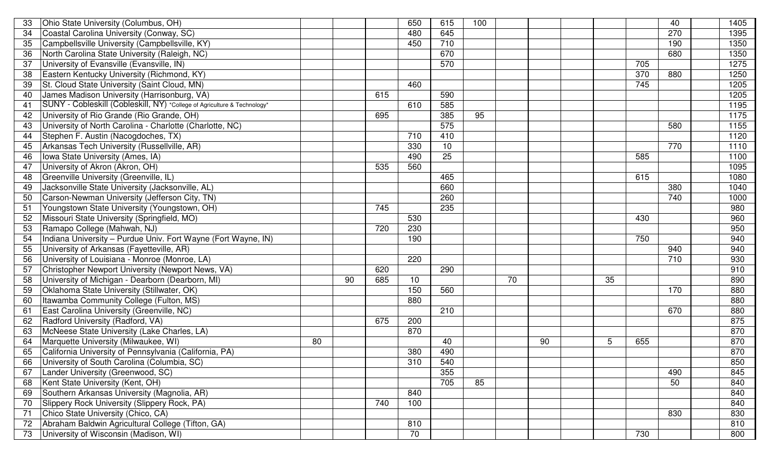| 33 | Ohio State University (Columbus, OH)                                     |    |    |                  | 650 | 615             | 100 |    |    |    |                  | 40               | 1405 |
|----|--------------------------------------------------------------------------|----|----|------------------|-----|-----------------|-----|----|----|----|------------------|------------------|------|
| 34 | Coastal Carolina University (Conway, SC)                                 |    |    |                  | 480 | 645             |     |    |    |    |                  | $\overline{270}$ | 1395 |
| 35 | Campbellsville University (Campbellsville, KY)                           |    |    |                  | 450 | 710             |     |    |    |    |                  | 190              | 1350 |
| 36 | North Carolina State University (Raleigh, NC)                            |    |    |                  |     | 670             |     |    |    |    |                  | 680              | 1350 |
| 37 | University of Evansville (Evansville, IN)                                |    |    |                  |     | 570             |     |    |    |    | 705              |                  | 1275 |
| 38 | Eastern Kentucky University (Richmond, KY)                               |    |    |                  |     |                 |     |    |    |    | $\overline{370}$ | 880              | 1250 |
| 39 | St. Cloud State University (Saint Cloud, MN)                             |    |    |                  | 460 |                 |     |    |    |    | 745              |                  | 1205 |
| 40 | James Madison University (Harrisonburg, VA)                              |    |    | 615              |     | 590             |     |    |    |    |                  |                  | 1205 |
| 41 | SUNY - Cobleskill (Cobleskill, NY) *College of Agriculture & Technology* |    |    |                  | 610 | 585             |     |    |    |    |                  |                  | 1195 |
| 42 | University of Rio Grande (Rio Grande, OH)                                |    |    | 695              |     | 385             | 95  |    |    |    |                  |                  | 1175 |
| 43 | University of North Carolina - Charlotte (Charlotte, NC)                 |    |    |                  |     | 575             |     |    |    |    |                  | 580              | 1155 |
| 44 | Stephen F. Austin (Nacogdoches, TX)                                      |    |    |                  | 710 | 410             |     |    |    |    |                  |                  | 1120 |
| 45 | Arkansas Tech University (Russellville, AR)                              |    |    |                  | 330 | 10              |     |    |    |    |                  | 770              | 1110 |
| 46 | Iowa State University (Ames, IA)                                         |    |    |                  | 490 | $\overline{25}$ |     |    |    |    | 585              |                  | 1100 |
| 47 | University of Akron (Akron, OH)                                          |    |    | 535              | 560 |                 |     |    |    |    |                  |                  | 1095 |
| 48 | Greenville University (Greenville, IL)                                   |    |    |                  |     | 465             |     |    |    |    | 615              |                  | 1080 |
| 49 | Jacksonville State University (Jacksonville, AL)                         |    |    |                  |     | 660             |     |    |    |    |                  | 380              | 1040 |
| 50 | Carson-Newman University (Jefferson City, TN)                            |    |    |                  |     | 260             |     |    |    |    |                  | 740              | 1000 |
| 51 | Youngstown State University (Youngstown, OH)                             |    |    | $\overline{745}$ |     | 235             |     |    |    |    |                  |                  | 980  |
| 52 | Missouri State University (Springfield, MO)                              |    |    |                  | 530 |                 |     |    |    |    | 430              |                  | 960  |
| 53 | Ramapo College (Mahwah, NJ)                                              |    |    | 720              | 230 |                 |     |    |    |    |                  |                  | 950  |
| 54 | Indiana University - Purdue Univ. Fort Wayne (Fort Wayne, IN)            |    |    |                  | 190 |                 |     |    |    |    | 750              |                  | 940  |
| 55 | University of Arkansas (Fayetteville, AR)                                |    |    |                  |     |                 |     |    |    |    |                  | 940              | 940  |
| 56 | University of Louisiana - Monroe (Monroe, LA)                            |    |    |                  | 220 |                 |     |    |    |    |                  | 710              | 930  |
| 57 | Christopher Newport University (Newport News, VA)                        |    |    | 620              |     | 290             |     |    |    |    |                  |                  | 910  |
| 58 | University of Michigan - Dearborn (Dearborn, MI)                         |    | 90 | 685              | 10  |                 |     | 70 |    | 35 |                  |                  | 890  |
| 59 | Oklahoma State University (Stillwater, OK)                               |    |    |                  | 150 | 560             |     |    |    |    |                  | 170              | 880  |
| 60 | Itawamba Community College (Fulton, MS)                                  |    |    |                  | 880 |                 |     |    |    |    |                  |                  | 880  |
| 61 | East Carolina University (Greenville, NC)                                |    |    |                  |     | 210             |     |    |    |    |                  | 670              | 880  |
| 62 | Radford University (Radford, VA)                                         |    |    | 675              | 200 |                 |     |    |    |    |                  |                  | 875  |
| 63 | McNeese State University (Lake Charles, LA)                              |    |    |                  | 870 |                 |     |    |    |    |                  |                  | 870  |
| 64 | Marquette University (Milwaukee, WI)                                     | 80 |    |                  |     | 40              |     |    | 90 | 5  | 655              |                  | 870  |
| 65 | California University of Pennsylvania (California, PA)                   |    |    |                  | 380 | 490             |     |    |    |    |                  |                  | 870  |
| 66 | University of South Carolina (Columbia, SC)                              |    |    |                  | 310 | 540             |     |    |    |    |                  |                  | 850  |
| 67 | Lander University (Greenwood, SC)                                        |    |    |                  |     | 355             |     |    |    |    |                  | 490              | 845  |
| 68 | Kent State University (Kent, OH)                                         |    |    |                  |     | 705             | 85  |    |    |    |                  | 50               | 840  |
| 69 | Southern Arkansas University (Magnolia, AR)                              |    |    |                  | 840 |                 |     |    |    |    |                  |                  | 840  |
| 70 | Slippery Rock University (Slippery Rock, PA)                             |    |    | 740              | 100 |                 |     |    |    |    |                  |                  | 840  |
| 71 | Chico State University (Chico, CA)                                       |    |    |                  |     |                 |     |    |    |    |                  | 830              | 830  |
| 72 | Abraham Baldwin Agricultural College (Tifton, GA)                        |    |    |                  | 810 |                 |     |    |    |    |                  |                  | 810  |
| 73 | University of Wisconsin (Madison, WI)                                    |    |    |                  | 70  |                 |     |    |    |    | 730              |                  | 800  |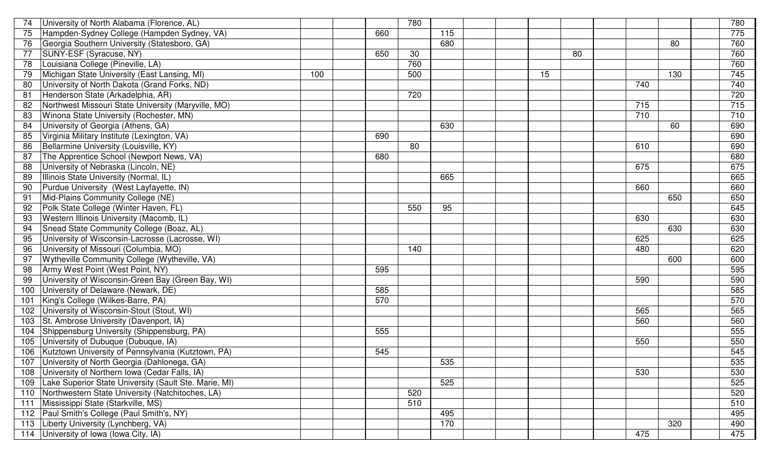| 74  | University of North Alabama (Florence, AL)            |     |     | 780             |     |  |    |                 |     |     | 780 |
|-----|-------------------------------------------------------|-----|-----|-----------------|-----|--|----|-----------------|-----|-----|-----|
| 75  | Hampden-Sydney College (Hampden Sydney, VA)           |     | 660 |                 | 115 |  |    |                 |     |     | 775 |
| 76  | Georgia Southern University (Statesboro, GA)          |     |     |                 | 680 |  |    |                 |     | 80  | 760 |
| 77  | SUNY-ESF (Syracuse, NY)                               |     | 650 | $\overline{30}$ |     |  |    | $\overline{80}$ |     |     | 760 |
| 78  | Louisiana College (Pineville, LA)                     |     |     | 760             |     |  |    |                 |     |     | 760 |
| 79  | Michigan State University (East Lansing, MI)          | 100 |     | 500             |     |  | 15 |                 |     | 130 | 745 |
| 80  | University of North Dakota (Grand Forks, ND)          |     |     |                 |     |  |    |                 | 740 |     | 740 |
| 81  | Henderson State (Arkadelphia, AR)                     |     |     | 720             |     |  |    |                 |     |     | 720 |
| 82  | Northwest Missouri State University (Maryville, MO)   |     |     |                 |     |  |    |                 | 715 |     | 715 |
| 83  | Winona State University (Rochester, MN)               |     |     |                 |     |  |    |                 | 710 |     | 710 |
| 84  | University of Georgia (Athens, GA)                    |     |     |                 | 630 |  |    |                 |     | 60  | 690 |
| 85  | Virginia Military Institute (Lexington, VA)           |     | 690 |                 |     |  |    |                 |     |     | 690 |
| 86  | Bellarmine University (Louisville, KY)                |     |     | 80              |     |  |    |                 | 610 |     | 690 |
| 87  | The Apprentice School (Newport News, VA)              |     | 680 |                 |     |  |    |                 |     |     | 680 |
| 88  | University of Nebraska (Lincoln, NE)                  |     |     |                 |     |  |    |                 | 675 |     | 675 |
| 89  | Illinois State University (Normal, IL)                |     |     |                 | 665 |  |    |                 |     |     | 665 |
| 90  | Purdue University (West Layfayette, IN)               |     |     |                 |     |  |    |                 | 660 |     | 660 |
| 91  | Mid-Plains Community College (NE)                     |     |     |                 |     |  |    |                 |     | 650 | 650 |
|     | Polk State College (Winter Haven, FL)                 |     |     | 550             | 95  |  |    |                 |     |     | 645 |
| 93  | <b>Western Illinois University (Macomb, IL)</b>       |     |     |                 |     |  |    |                 | 630 |     | 630 |
| 94  | Snead State Community College (Boaz, AL)              |     |     |                 |     |  |    |                 |     | 630 | 630 |
| 95  | University of Wisconsin-Lacrosse (Lacrosse, WI)       |     |     |                 |     |  |    |                 | 625 |     | 625 |
| 96  | University of Missouri (Columbia, MO)                 |     |     | 140             |     |  |    |                 | 480 |     | 620 |
| 97  | Wytheville Community College (Wytheville, VA)         |     |     |                 |     |  |    |                 |     | 600 | 600 |
| 98  | Army West Point (West Point, NY)                      |     | 595 |                 |     |  |    |                 |     |     | 595 |
| 99  | University of Wisconsin-Green Bay (Green Bay, WI)     |     |     |                 |     |  |    |                 | 590 |     | 590 |
| 100 | University of Delaware (Newark, DE)                   |     | 585 |                 |     |  |    |                 |     |     | 585 |
| 101 | King's College (Wilkes-Barre, PA)                     |     | 570 |                 |     |  |    |                 |     |     | 570 |
| 102 | University of Wisconsin-Stout (Stout, WI)             |     |     |                 |     |  |    |                 | 565 |     | 565 |
| 103 | St. Ambrose University (Davenport, IA)                |     |     |                 |     |  |    |                 | 560 |     | 560 |
| 104 | Shippensburg University (Shippensburg, PA)            |     | 555 |                 |     |  |    |                 |     |     | 555 |
| 105 | University of Dubuque (Dubuque, IA)                   |     |     |                 |     |  |    |                 | 550 |     | 550 |
| 106 | Kutztown University of Pennsylvania (Kutztown, PA)    |     | 545 |                 |     |  |    |                 |     |     | 545 |
|     | 107 University of North Georgia (Dahlonega, GA)       |     |     |                 | 535 |  |    |                 |     |     | 535 |
|     | 108 University of Northern Iowa (Cedar Falls, IA)     |     |     |                 |     |  |    |                 | 530 |     | 530 |
| 109 | Lake Superior State University (Sault Ste. Marie, MI) |     |     |                 | 525 |  |    |                 |     |     | 525 |
| 110 | Northwestern State University (Natchitoches, LA)      |     |     | 520             |     |  |    |                 |     |     | 520 |
| 111 | Mississippi State (Starkville, MS)                    |     |     | 510             |     |  |    |                 |     |     | 510 |
| 112 | Paul Smith's College (Paul Smith's, NY)               |     |     |                 | 495 |  |    |                 |     |     | 495 |
| 113 | Liberty University (Lynchberg, VA)                    |     |     |                 | 170 |  |    |                 |     | 320 | 490 |
|     | 114 University of Iowa (Iowa City, IA)                |     |     |                 |     |  |    |                 | 475 |     | 475 |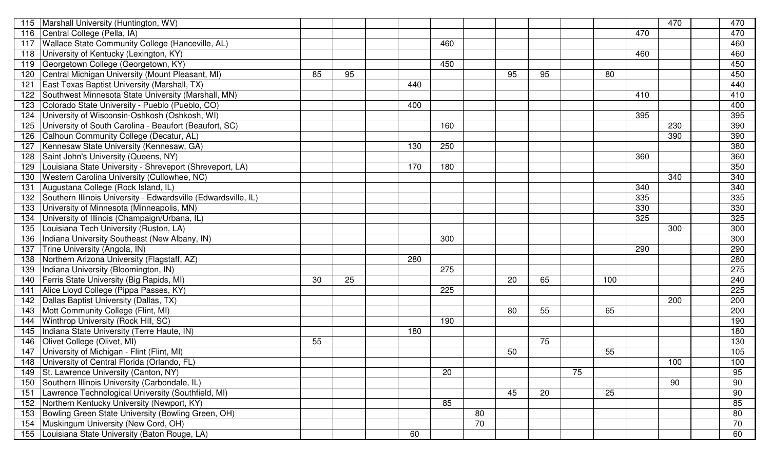| 115 | Marshall University (Huntington, WV)                           |    |                 |     |                  |                 |    |    |    |                 |     | 470 | 470             |
|-----|----------------------------------------------------------------|----|-----------------|-----|------------------|-----------------|----|----|----|-----------------|-----|-----|-----------------|
| 116 | Central College (Pella, IA)                                    |    |                 |     |                  |                 |    |    |    |                 | 470 |     | 470             |
| 117 | Wallace State Community College (Hanceville, AL)               |    |                 |     | 460              |                 |    |    |    |                 |     |     | 460             |
| 118 | University of Kentucky (Lexington, KY)                         |    |                 |     |                  |                 |    |    |    |                 | 460 |     | 460             |
| 119 | Georgetown College (Georgetown, KY)                            |    |                 |     | 450              |                 |    |    |    |                 |     |     | 450             |
| 120 | Central Michigan University (Mount Pleasant, MI)               | 85 | 95              |     |                  |                 | 95 | 95 |    | 80              |     |     | 450             |
| 121 | East Texas Baptist University (Marshall, TX)                   |    |                 | 440 |                  |                 |    |    |    |                 |     |     | 440             |
| 122 | Southwest Minnesota State University (Marshall, MN)            |    |                 |     |                  |                 |    |    |    |                 | 410 |     | 410             |
| 123 | Colorado State University - Pueblo (Pueblo, CO)                |    |                 | 400 |                  |                 |    |    |    |                 |     |     | 400             |
| 124 | University of Wisconsin-Oshkosh (Oshkosh, WI)                  |    |                 |     |                  |                 |    |    |    |                 | 395 |     | 395             |
| 125 | University of South Carolina - Beaufort (Beaufort, SC)         |    |                 |     | 160              |                 |    |    |    |                 |     | 230 | 390             |
| 126 | Calhoun Community College (Decatur, AL)                        |    |                 |     |                  |                 |    |    |    |                 |     | 390 | 390             |
| 127 | Kennesaw State University (Kennesaw, GA)                       |    |                 | 130 | 250              |                 |    |    |    |                 |     |     | 380             |
| 128 | Saint John's University (Queens, NY)                           |    |                 |     |                  |                 |    |    |    |                 | 360 |     | 360             |
| 129 | Louisiana State University - Shreveport (Shreveport, LA)       |    |                 | 170 | 180              |                 |    |    |    |                 |     |     | 350             |
| 130 | <b>Western Carolina University (Cullowhee, NC)</b>             |    |                 |     |                  |                 |    |    |    |                 |     | 340 | 340             |
| 131 | Augustana College (Rock Island, IL)                            |    |                 |     |                  |                 |    |    |    |                 | 340 |     | 340             |
| 132 | Southern Illinois University - Edwardsville (Edwardsville, IL) |    |                 |     |                  |                 |    |    |    |                 | 335 |     | $\frac{1}{335}$ |
| 133 | University of Minnesota (Minneapolis, MN)                      |    |                 |     |                  |                 |    |    |    |                 | 330 |     | 330             |
| 134 | University of Illinois (Champaign/Urbana, IL)                  |    |                 |     |                  |                 |    |    |    |                 | 325 |     | 325             |
| 135 | Louisiana Tech University (Ruston, LA)                         |    |                 |     |                  |                 |    |    |    |                 |     | 300 | 300             |
| 136 | Indiana University Southeast (New Albany, IN)                  |    |                 |     | 300              |                 |    |    |    |                 |     |     | 300             |
| 137 | Trine University (Angola, IN)                                  |    |                 |     |                  |                 |    |    |    |                 | 290 |     | 290             |
| 138 | Northern Arizona University (Flagstaff, AZ)                    |    |                 | 280 |                  |                 |    |    |    |                 |     |     | 280             |
| 139 | Indiana University (Bloomington, IN)                           |    |                 |     | $\overline{275}$ |                 |    |    |    |                 |     |     | 275             |
| 140 | Ferris State University (Big Rapids, MI)                       | 30 | $\overline{25}$ |     |                  |                 | 20 | 65 |    | 100             |     |     | 240             |
| 141 | Alice Lloyd College (Pippa Passes, KY)                         |    |                 |     | 225              |                 |    |    |    |                 |     |     | 225             |
| 142 | Dallas Baptist University (Dallas, TX)                         |    |                 |     |                  |                 |    |    |    |                 |     | 200 | 200             |
| 143 | Mott Community College (Flint, MI)                             |    |                 |     |                  |                 | 80 | 55 |    | 65              |     |     | 200             |
| 144 | <b>Winthrop University (Rock Hill, SC)</b>                     |    |                 |     | 190              |                 |    |    |    |                 |     |     | 190             |
| 145 | Indiana State University (Terre Haute, IN)                     |    |                 | 180 |                  |                 |    |    |    |                 |     |     | 180             |
| 146 | Olivet College (Olivet, MI)                                    | 55 |                 |     |                  |                 |    | 75 |    |                 |     |     | 130             |
| 147 | University of Michigan - Flint (Flint, MI)                     |    |                 |     |                  |                 | 50 |    |    | 55              |     |     | 105             |
|     | University of Central Florida (Orlando, FL)                    |    |                 |     |                  |                 |    |    |    |                 |     | 100 | 100             |
| 149 | St. Lawrence University (Canton, NY)                           |    |                 |     | $\overline{20}$  |                 |    |    | 75 |                 |     |     | 95              |
| 150 | Southern Illinois University (Carbondale, IL)                  |    |                 |     |                  |                 |    |    |    |                 |     | 90  | 90              |
| 151 | Lawrence Technological University (Southfield, MI)             |    |                 |     |                  |                 | 45 | 20 |    | $\overline{25}$ |     |     | 90              |
| 152 | Northern Kentucky University (Newport, KY)                     |    |                 |     | 85               |                 |    |    |    |                 |     |     | 85              |
| 153 | Bowling Green State University (Bowling Green, OH)             |    |                 |     |                  | 80              |    |    |    |                 |     |     | 80              |
| 154 | Muskingum University (New Cord, OH)                            |    |                 |     |                  | $\overline{70}$ |    |    |    |                 |     |     | $\overline{70}$ |
| 155 | Louisiana State University (Baton Rouge, LA)                   |    |                 | 60  |                  |                 |    |    |    |                 |     |     | 60              |